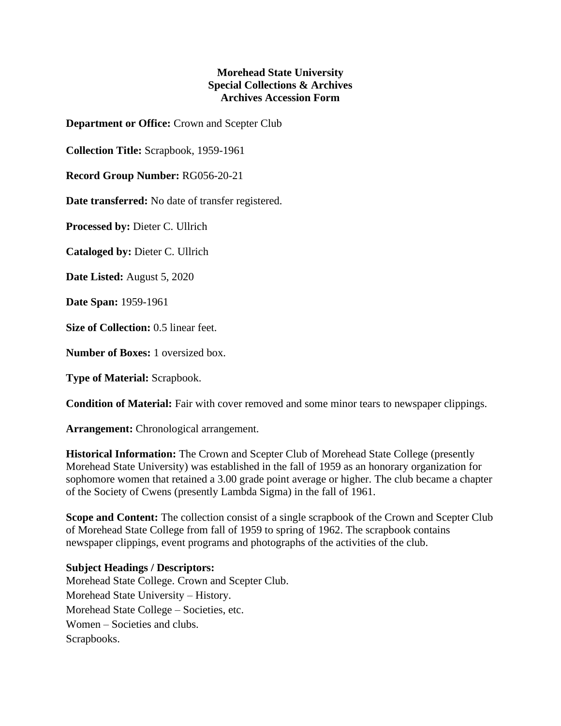## **Morehead State University Special Collections & Archives Archives Accession Form**

**Department or Office:** Crown and Scepter Club

**Collection Title:** Scrapbook, 1959-1961

**Record Group Number:** RG056-20-21

**Date transferred:** No date of transfer registered.

**Processed by:** Dieter C. Ullrich

**Cataloged by:** Dieter C. Ullrich

**Date Listed:** August 5, 2020

**Date Span:** 1959-1961

**Size of Collection:** 0.5 linear feet.

**Number of Boxes:** 1 oversized box.

**Type of Material:** Scrapbook.

**Condition of Material:** Fair with cover removed and some minor tears to newspaper clippings.

**Arrangement:** Chronological arrangement.

**Historical Information:** The Crown and Scepter Club of Morehead State College (presently Morehead State University) was established in the fall of 1959 as an honorary organization for sophomore women that retained a 3.00 grade point average or higher. The club became a chapter of the Society of Cwens (presently Lambda Sigma) in the fall of 1961.

**Scope and Content:** The collection consist of a single scrapbook of the Crown and Scepter Club of Morehead State College from fall of 1959 to spring of 1962. The scrapbook contains newspaper clippings, event programs and photographs of the activities of the club.

## **Subject Headings / Descriptors:**

Morehead State College. Crown and Scepter Club. Morehead State University – History. Morehead State College – Societies, etc. Women – Societies and clubs. Scrapbooks.